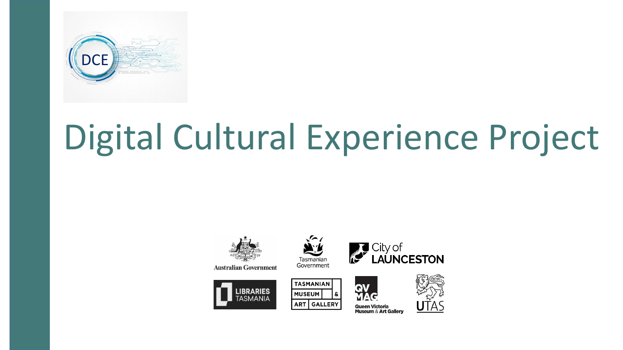

## Digital Cultural Experience Project

Tasmanian Government

**TASMANIAN** 

ART GALLERY

**MUSEUM** 



**Australian Government** 







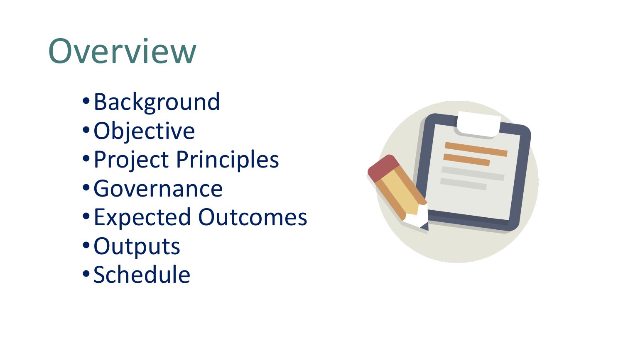## Overview

- •Background
- •Objective
- •Project Principles
- •Governance
- •Expected Outcomes
- •Outputs
- •Schedule

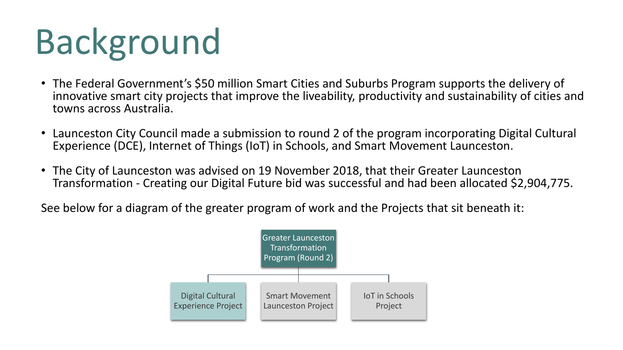# Background

- The Federal Government's \$50 million Smart Cities and Suburbs Program supports the delivery of innovative smart city projects that improve the liveability, productivity and sustainability of cities and towns across Australia.
- Launceston City Council made a submission to round 2 of the program incorporating Digital Cultural Experience (DCE), Internet of Things (IoT) in Schools, and Smart Movement Launceston.
- The City of Launceston was advised on 19 November 2018, that their Greater Launceston Transformation - Creating our Digital Future bid was successful and had been allocated \$2,904,775.

See below for a diagram of the greater program of work and the Projects that sit beneath it:

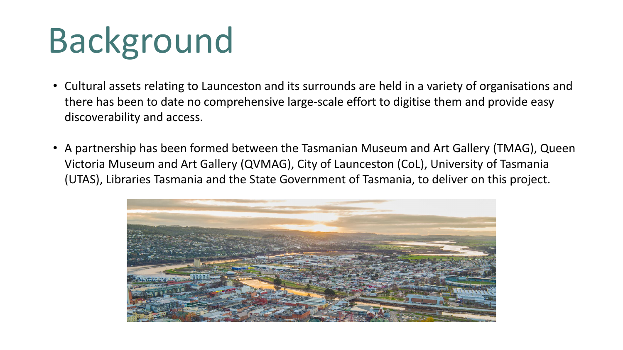# Background

- Cultural assets relating to Launceston and its surrounds are held in a variety of organisations and there has been to date no comprehensive large-scale effort to digitise them and provide easy discoverability and access.
- A partnership has been formed between the Tasmanian Museum and Art Gallery (TMAG), Queen Victoria Museum and Art Gallery (QVMAG), City of Launceston (CoL), University of Tasmania (UTAS), Libraries Tasmania and the State Government of Tasmania, to deliver on this project.

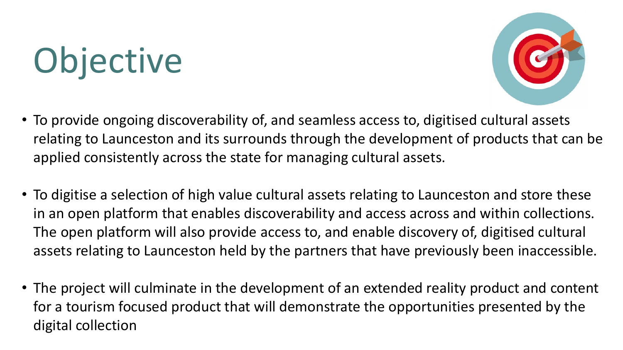# Objective



- To provide ongoing discoverability of, and seamless access to, digitised cultural assets relating to Launceston and its surrounds through the development of products that can be applied consistently across the state for managing cultural assets.
- To digitise a selection of high value cultural assets relating to Launceston and store these in an open platform that enables discoverability and access across and within collections. The open platform will also provide access to, and enable discovery of, digitised cultural assets relating to Launceston held by the partners that have previously been inaccessible.
- The project will culminate in the development of an extended reality product and content for a tourism focused product that will demonstrate the opportunities presented by the digital collection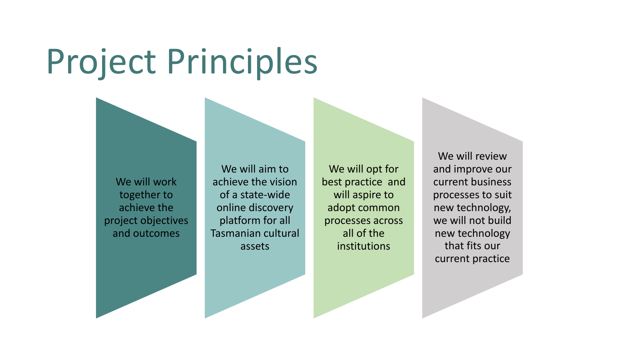### Project Principles

We will work together to achieve the project objectives and outcomes

We will aim to achieve the vision of a state-wide online discovery platform for all Tasmanian cultural assets

We will opt for best practice and will aspire to adopt common processes across all of the institutions

We will review and improve our current business processes to suit new technology, we will not build new technology that fits our current practice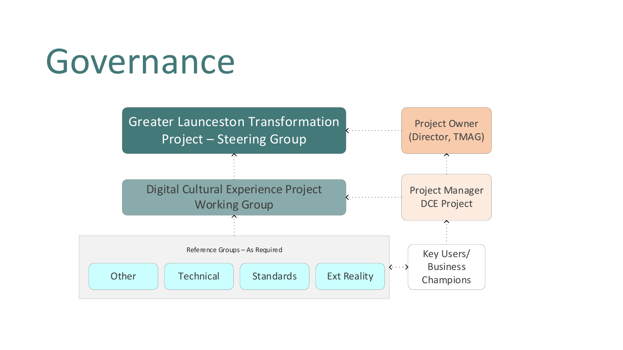#### Governance

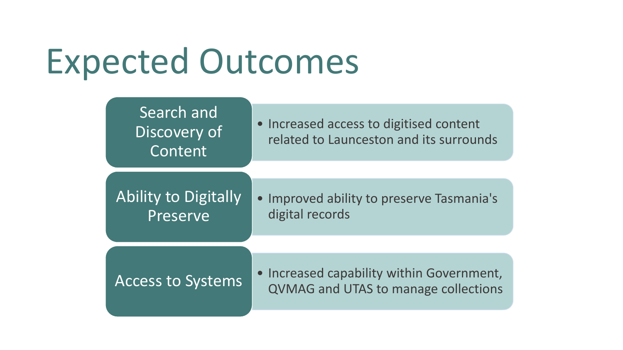### Expected Outcomes

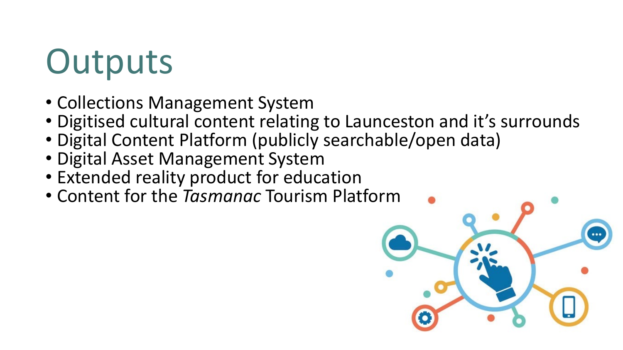## **Outputs**

- Collections Management System
- Digitised cultural content relating to Launceston and it's surrounds
- Digital Content Platform (publicly searchable/open data)
- Digital Asset Management System
- Extended reality product for education
- Content for the *Tasmanac* Tourism Platform

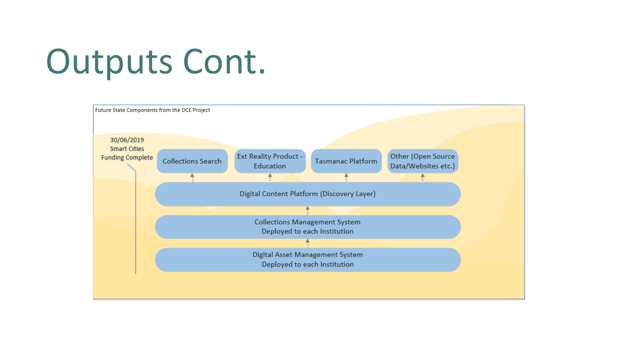## Outputs Cont.